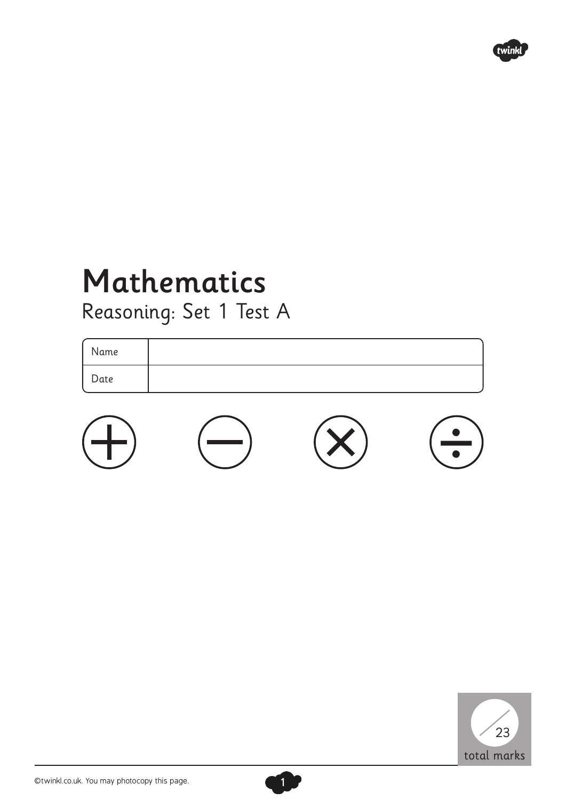

## Mathematics Reasoning: Set 1 Test A

Name Date





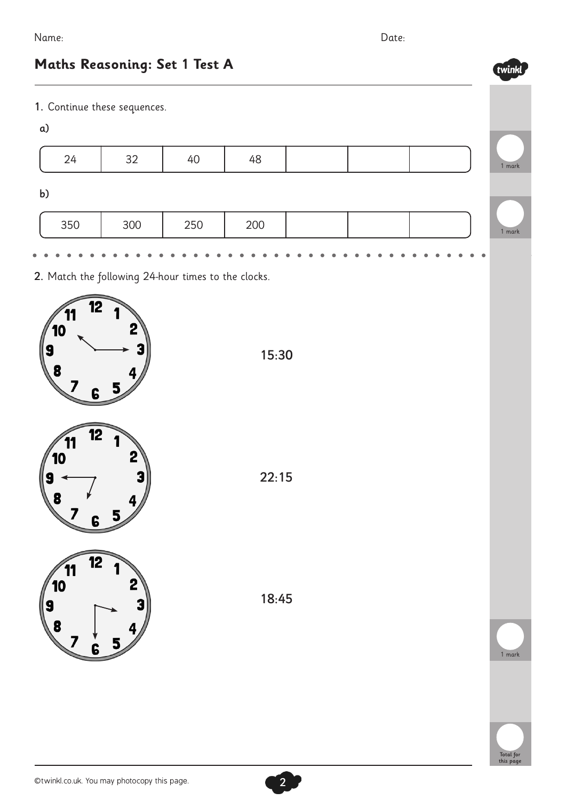twinkl

## **Maths Reasoning: Set 1 Test A**

1. Continue these sequences.

| $\alpha$ |     |     |     |  |        |
|----------|-----|-----|-----|--|--------|
| 24       | 32  | 40  | 48  |  | 1 mark |
| b)       |     |     |     |  |        |
| 350      | 300 | 250 | 200 |  | 1 mark |
|          |     |     |     |  |        |

2. Match the following 24-hour times to the clocks.



15:30



18:45



1 mark

Total for this page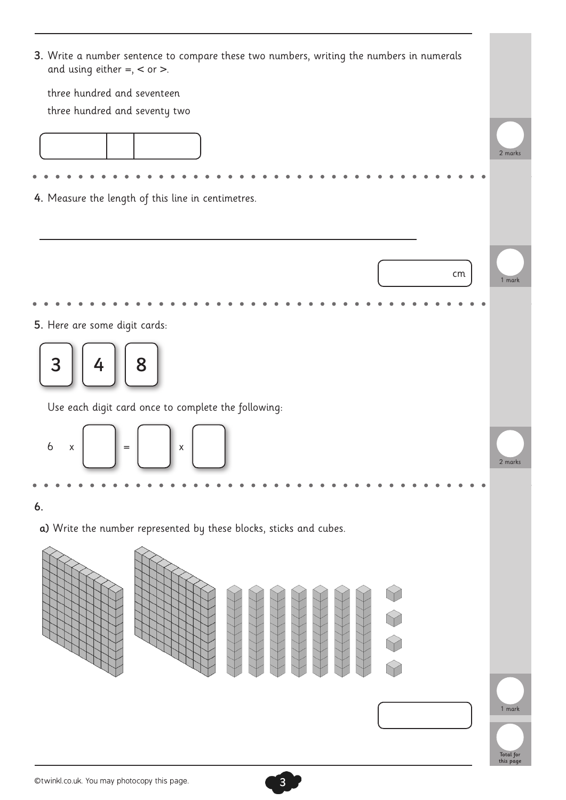| 3. Write a number sentence to compare these two numbers, writing the numbers in numerals<br>and using either $=, <$ or $>$ . |                        |  |  |  |
|------------------------------------------------------------------------------------------------------------------------------|------------------------|--|--|--|
| three hundred and seventeen                                                                                                  |                        |  |  |  |
| three hundred and seventy two                                                                                                |                        |  |  |  |
|                                                                                                                              | 2 marks                |  |  |  |
|                                                                                                                              |                        |  |  |  |
| 4. Measure the length of this line in centimetres.                                                                           |                        |  |  |  |
| cm                                                                                                                           | 1 mark                 |  |  |  |
|                                                                                                                              |                        |  |  |  |
| 5. Here are some digit cards:                                                                                                |                        |  |  |  |
| 8<br>3<br>4                                                                                                                  |                        |  |  |  |
| Use each digit card once to complete the following:                                                                          |                        |  |  |  |
| $\boldsymbol{6}$<br>X<br>$\mathsf X$<br>$=$                                                                                  | 2 marks                |  |  |  |
|                                                                                                                              |                        |  |  |  |
| 6.                                                                                                                           |                        |  |  |  |
| a) Write the number represented by these blocks, sticks and cubes.                                                           |                        |  |  |  |
|                                                                                                                              |                        |  |  |  |
|                                                                                                                              | 1 mark                 |  |  |  |
|                                                                                                                              | Total for<br>this page |  |  |  |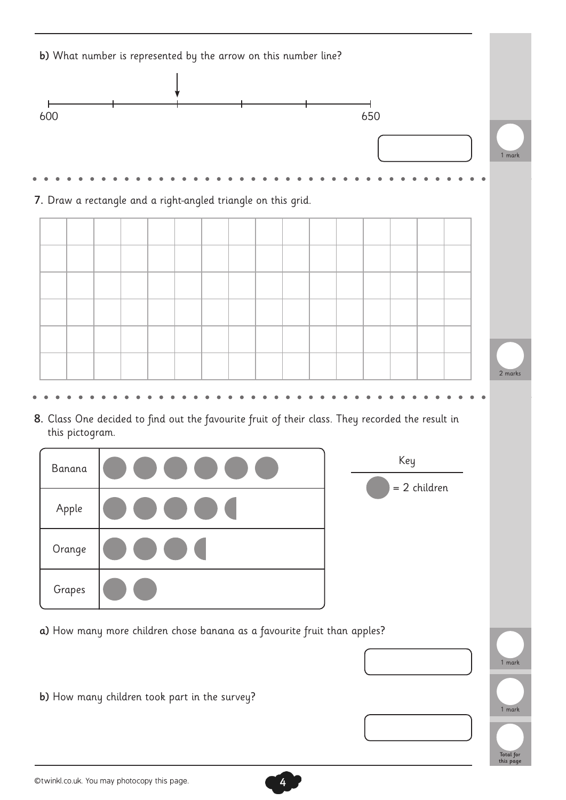

©twinkl.co.uk. You may photocopy this page. 4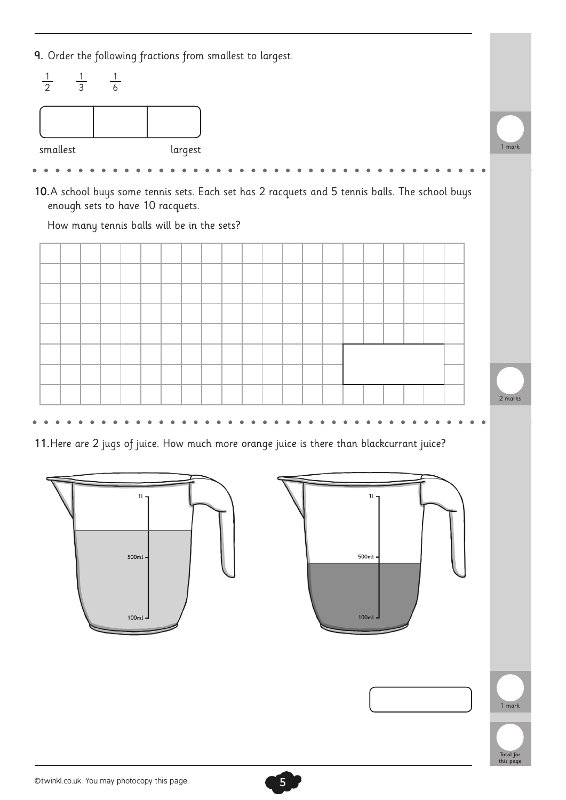9. Order the following fractions from smallest to largest.



10.A school buys some tennis sets. Each set has 2 racquets and 5 tennis balls. The school buys enough sets to have 10 racquets.

How many tennis balls will be in the sets?



11.Here are 2 jugs of juice. How much more orange juice is there than blackcurrant juice?

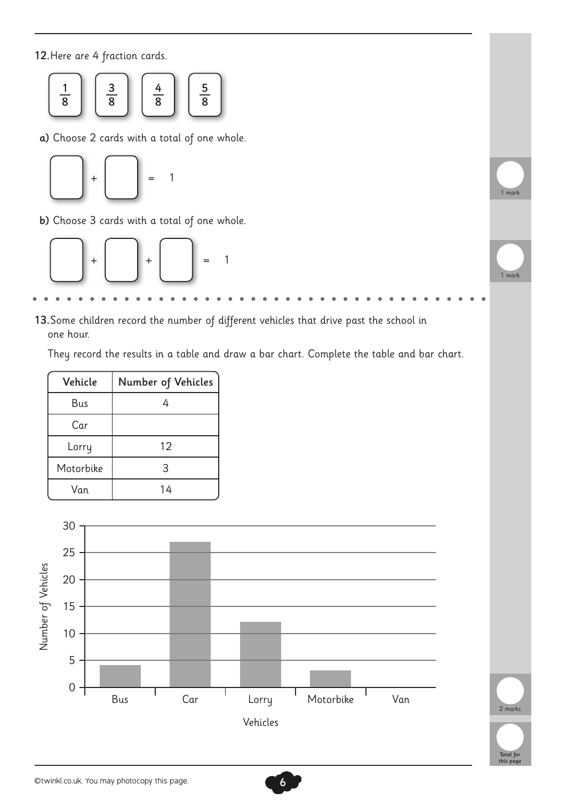12.Here are 4 fraction cards.



a) Choose 2 cards with a total of one whole.



b) Choose 3 cards with a total of one whole.



13.Some children record the number of different vehicles that drive past the school in one hour.

They record the results in a table and draw a bar chart. Complete the table and bar chart.

| Vehicle   | Number of Vehicles |  |  |  |  |
|-----------|--------------------|--|--|--|--|
| Bus       |                    |  |  |  |  |
| Car       |                    |  |  |  |  |
| Lorry     | 12                 |  |  |  |  |
| Motorbike | 3                  |  |  |  |  |
| Van       | 14                 |  |  |  |  |



Total for this page

2 marks

mar

1 mark

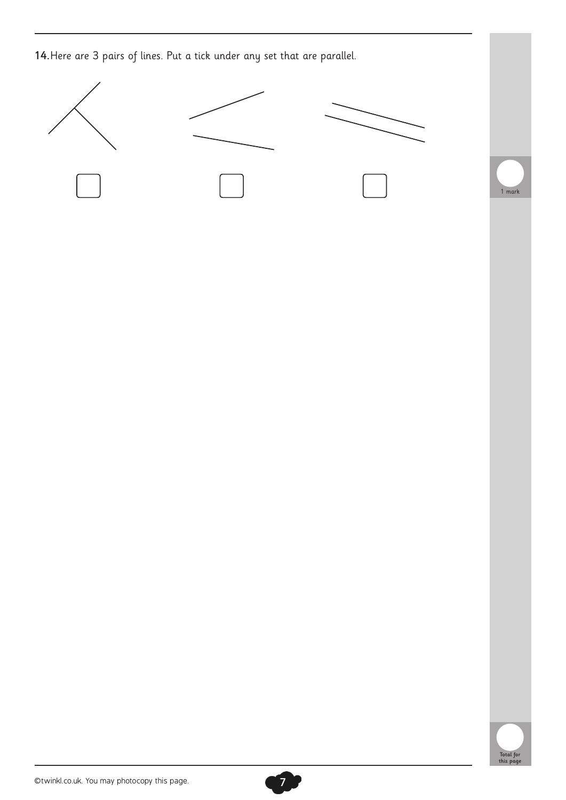14.Here are 3 pairs of lines. Put a tick under any set that are parallel.





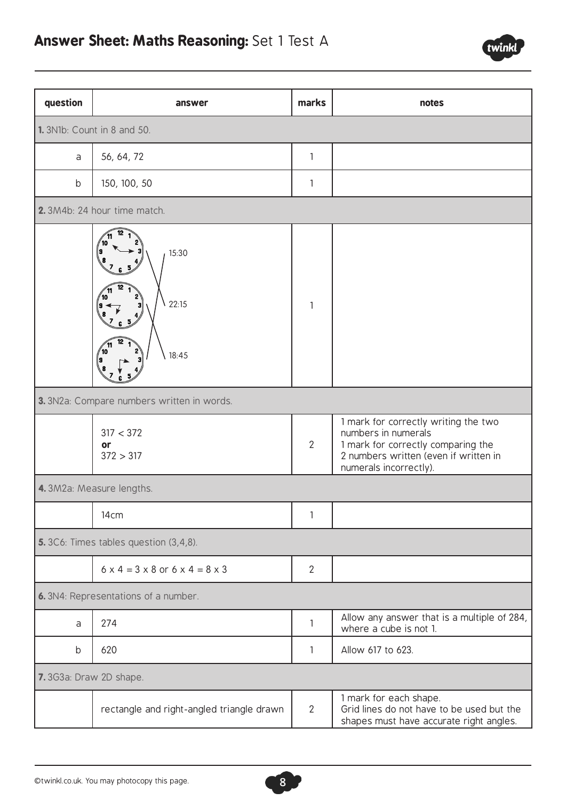

| question                              | answer                                                 | marks          | notes                                                                                                                                                                |  |  |
|---------------------------------------|--------------------------------------------------------|----------------|----------------------------------------------------------------------------------------------------------------------------------------------------------------------|--|--|
| <b>1.</b> 3N1b: Count in 8 and 50.    |                                                        |                |                                                                                                                                                                      |  |  |
| a                                     | 56, 64, 72                                             |                |                                                                                                                                                                      |  |  |
| b                                     | 150, 100, 50                                           |                |                                                                                                                                                                      |  |  |
|                                       | 2.3M4b: 24 hour time match.                            |                |                                                                                                                                                                      |  |  |
|                                       | 15:30<br>22:15<br>10<br>18:45                          | 1              |                                                                                                                                                                      |  |  |
|                                       | 3. 3N2a: Compare numbers written in words.             |                |                                                                                                                                                                      |  |  |
|                                       | 317 < 372<br>or<br>372 > 317                           | $\overline{2}$ | 1 mark for correctly writing the two<br>numbers in numerals<br>1 mark for correctly comparing the<br>2 numbers written (even if written in<br>numerals incorrectly). |  |  |
| 4.3M2a: Measure lengths.              |                                                        |                |                                                                                                                                                                      |  |  |
|                                       | 14 <sub>cm</sub>                                       | 1              |                                                                                                                                                                      |  |  |
| 5.3C6: Times tables question (3,4,8). |                                                        |                |                                                                                                                                                                      |  |  |
|                                       | $6 \times 4 = 3 \times 8$ or $6 \times 4 = 8 \times 3$ | $\mathbf{2}$   |                                                                                                                                                                      |  |  |
| 6. 3N4: Representations of a number.  |                                                        |                |                                                                                                                                                                      |  |  |
| a                                     | 274                                                    | 1              | Allow any answer that is a multiple of 284,<br>where a cube is not 1.                                                                                                |  |  |
| b                                     | 620                                                    | 1              | Allow 617 to 623.                                                                                                                                                    |  |  |
| 7.3G3a: Draw 2D shape.                |                                                        |                |                                                                                                                                                                      |  |  |
|                                       | rectangle and right-angled triangle drawn              | $\overline{2}$ | 1 mark for each shape.<br>Grid lines do not have to be used but the<br>shapes must have accurate right angles.                                                       |  |  |

8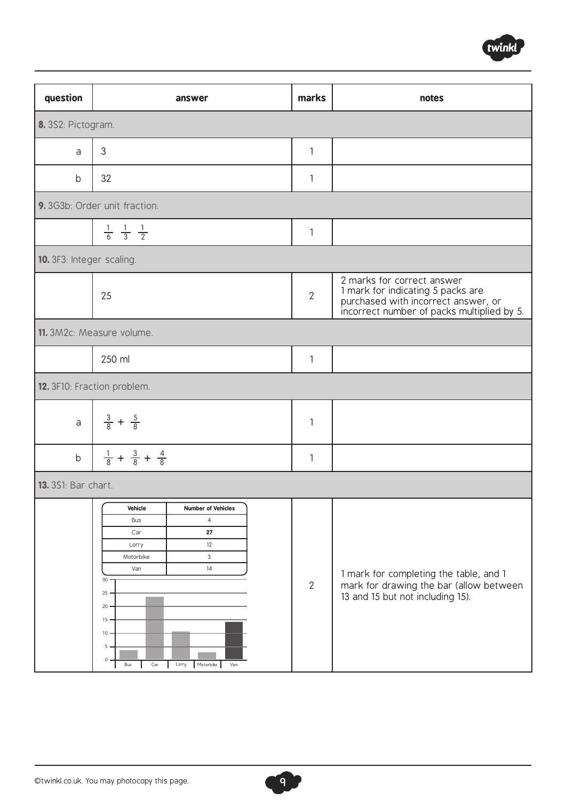

| question                   | answer                                                                                                                                         |                                                                                                            |  | marks          | notes                                                                                                                                                |  |  |
|----------------------------|------------------------------------------------------------------------------------------------------------------------------------------------|------------------------------------------------------------------------------------------------------------|--|----------------|------------------------------------------------------------------------------------------------------------------------------------------------------|--|--|
| 8. 3S2: Pictogram.         |                                                                                                                                                |                                                                                                            |  |                |                                                                                                                                                      |  |  |
| a                          | 3                                                                                                                                              |                                                                                                            |  | 1              |                                                                                                                                                      |  |  |
| b                          | 32                                                                                                                                             |                                                                                                            |  | $\mathbf{1}$   |                                                                                                                                                      |  |  |
|                            | 9.3G3b: Order unit fraction.                                                                                                                   |                                                                                                            |  |                |                                                                                                                                                      |  |  |
|                            | $\frac{1}{6}$ $\frac{1}{3}$ $\frac{1}{2}$                                                                                                      |                                                                                                            |  | 1              |                                                                                                                                                      |  |  |
| 10. 3F3: Integer scaling.  |                                                                                                                                                |                                                                                                            |  |                |                                                                                                                                                      |  |  |
|                            | 25                                                                                                                                             |                                                                                                            |  | $\overline{2}$ | 2 marks for correct answer<br>1 mark for indicating 5 packs are<br>purchased with incorrect answer, or<br>incorrect number of packs multiplied by 5. |  |  |
|                            | 11. 3M2c: Measure volume.                                                                                                                      |                                                                                                            |  |                |                                                                                                                                                      |  |  |
|                            | 250 ml                                                                                                                                         |                                                                                                            |  | $\mathbf{1}$   |                                                                                                                                                      |  |  |
|                            | 12. 3F10: Fraction problem.                                                                                                                    |                                                                                                            |  |                |                                                                                                                                                      |  |  |
| $\mathsf{a}$               | $\frac{3}{8} + \frac{5}{8}$                                                                                                                    |                                                                                                            |  | 1              |                                                                                                                                                      |  |  |
| $\mathsf b$                | $\frac{1}{8} + \frac{3}{8} + \frac{4}{8}$                                                                                                      |                                                                                                            |  | $\mathbf{1}$   |                                                                                                                                                      |  |  |
| <b>13.</b> 3S1: Bar chart. |                                                                                                                                                |                                                                                                            |  |                |                                                                                                                                                      |  |  |
|                            | Vehicle<br>Bus<br>Car<br>Lorry<br>Motorbike<br>Van<br>$30 -$<br>$25 -$<br>$20 -$<br>15.<br>10 <sub>1</sub><br>$5 -$<br>$\circ$ .<br>Car<br>Bus | <b>Number of Vehicles</b><br>$\overline{4}$<br>27<br>12<br>$\mathbf{3}$<br>14<br>Motorbike<br>Lorry<br>Van |  | $\overline{2}$ | 1 mark for completing the table, and 1<br>mark for drawing the bar (allow between<br>13 and 15 but not including 15).                                |  |  |